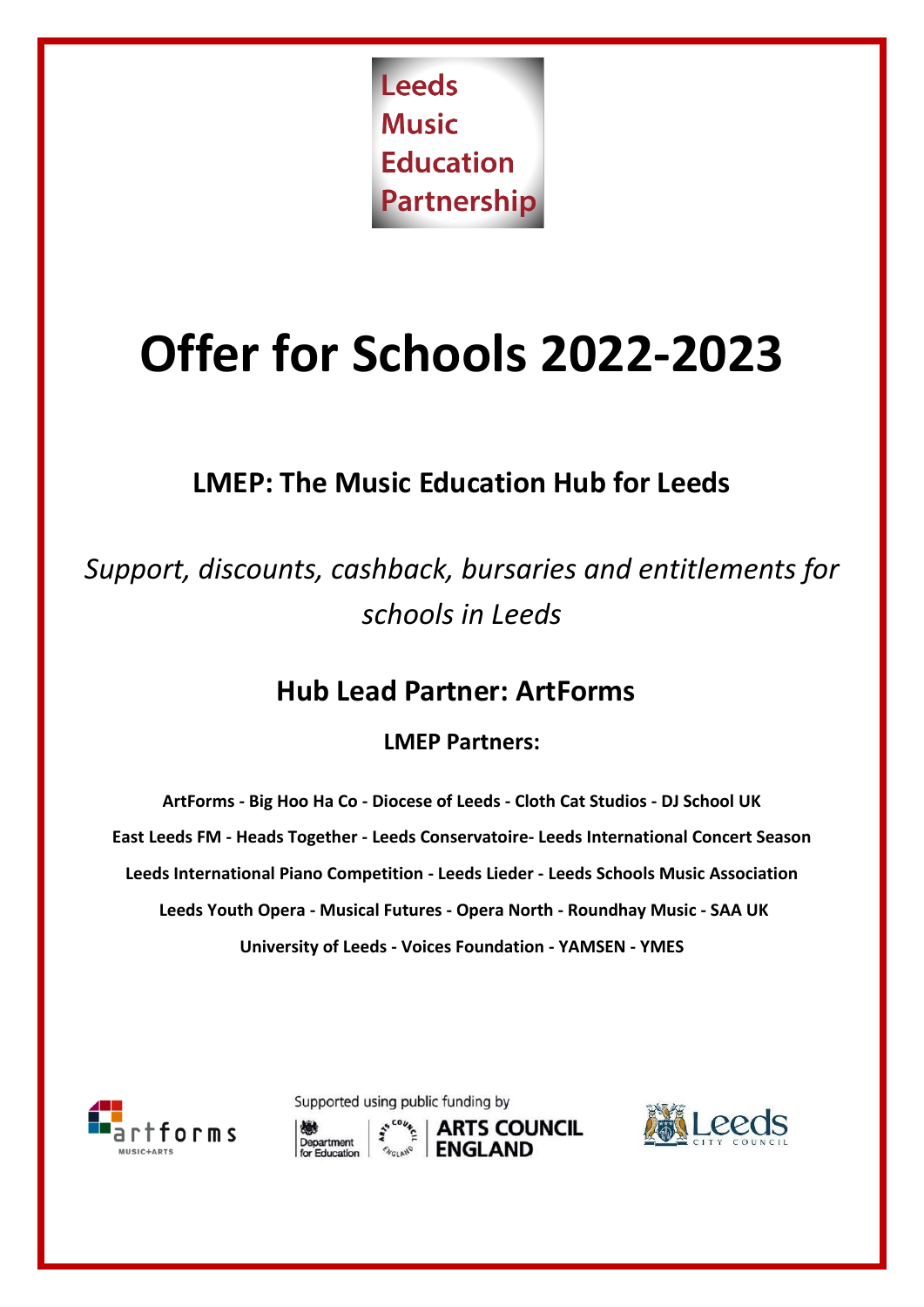Leeds **Music Education** Partnership

# **Offer for Schools 2022-2023**

# **LMEP: The Music Education Hub for Leeds**

*Support, discounts, cashback, bursaries and entitlements for schools in Leeds* 

## **Hub Lead Partner: ArtForms**

## **LMEP Partners:**

**ArtForms - Big Hoo Ha Co - Diocese of Leeds - Cloth Cat Studios - DJ School UK East Leeds FM - Heads Together - Leeds Conservatoire- Leeds International Concert Season Leeds International Piano Competition - Leeds Lieder - Leeds Schools Music Association Leeds Youth Opera - Musical Futures - Opera North - Roundhay Music - SAA UK University of Leeds - Voices Foundation - YAMSEN - YMES**



Supported using public funding by **ARTS COUNCIL** Department

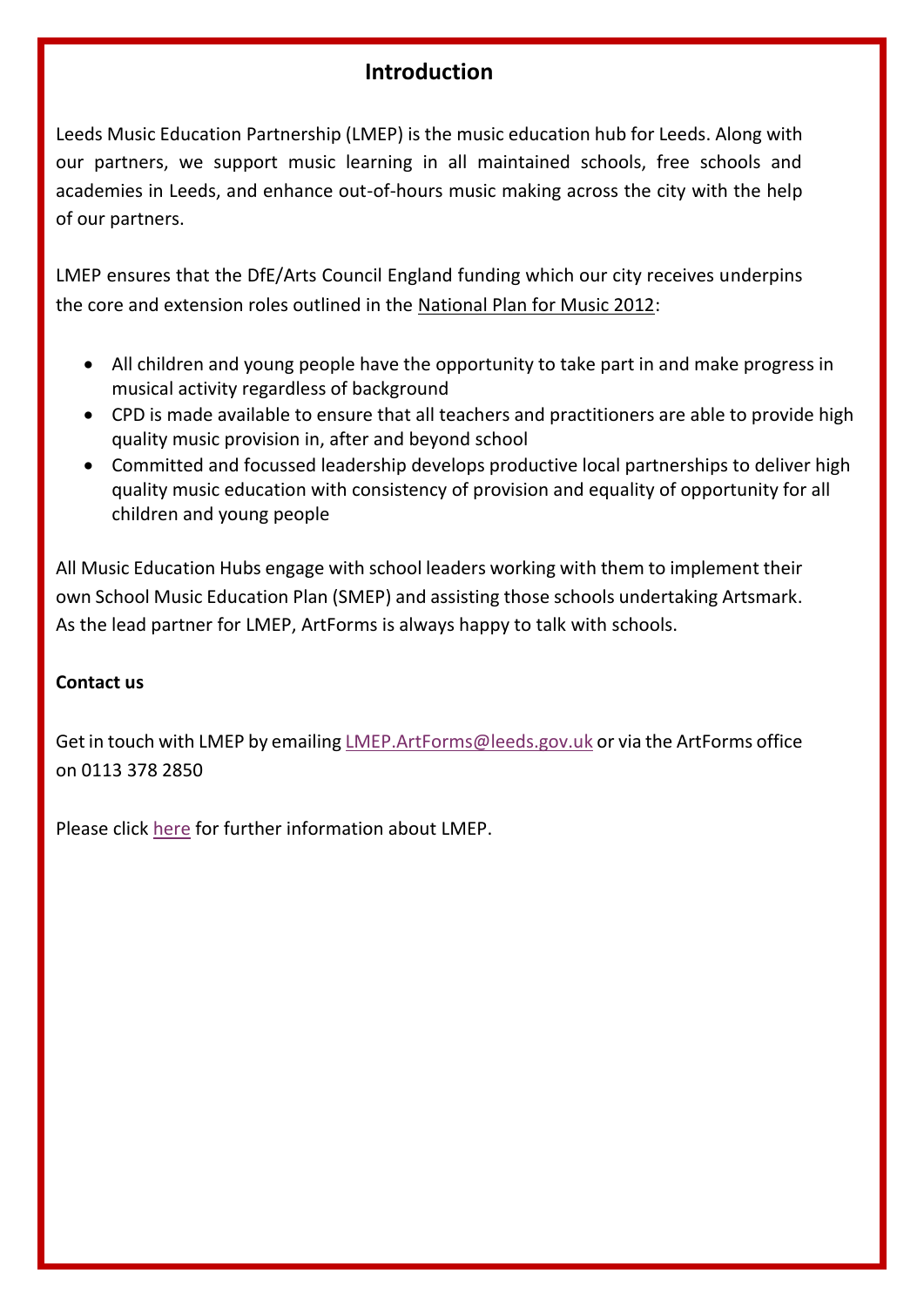## **Introduction**

Leeds Music Education Partnership (LMEP) is the music education hub for Leeds. Along with our partners, we support music learning in all maintained schools, free schools and academies in Leeds, and enhance out-of-hours music making across the city with the help of our partners.

LMEP ensures that the DfE/Arts Council England funding which our city receives underpins the core and extension roles outlined in the [National Plan for Music 2012:](https://www.gov.uk/government/uploads/system/uploads/attachment_data/file/180973/DFE-00086-2011.pdf)

- All children and young people have the opportunity to take part in and make progress in musical activity regardless of background
- CPD is made available to ensure that all teachers and practitioners are able to provide high quality music provision in, after and beyond school
- Committed and focussed leadership develops productive local partnerships to deliver high quality music education with consistency of provision and equality of opportunity for all children and young people

All Music Education Hubs engage with school leaders working with them to implement their own School Music Education Plan (SMEP) and assisting those schools undertaking Artsmark. As the lead partner for LMEP, ArtForms is always happy to talk with schools.

#### **Contact us**

Get in touch with LMEP by emailin[g LMEP.ArtForms@leeds.gov.uk](mailto:LMEP.ArtForms@leeds.gov.uk) or via the ArtForms office on 0113 378 2850

Please click [here](https://artformsleeds.co.uk/networks/leeds-music-education-partnership/) for further information about LMEP.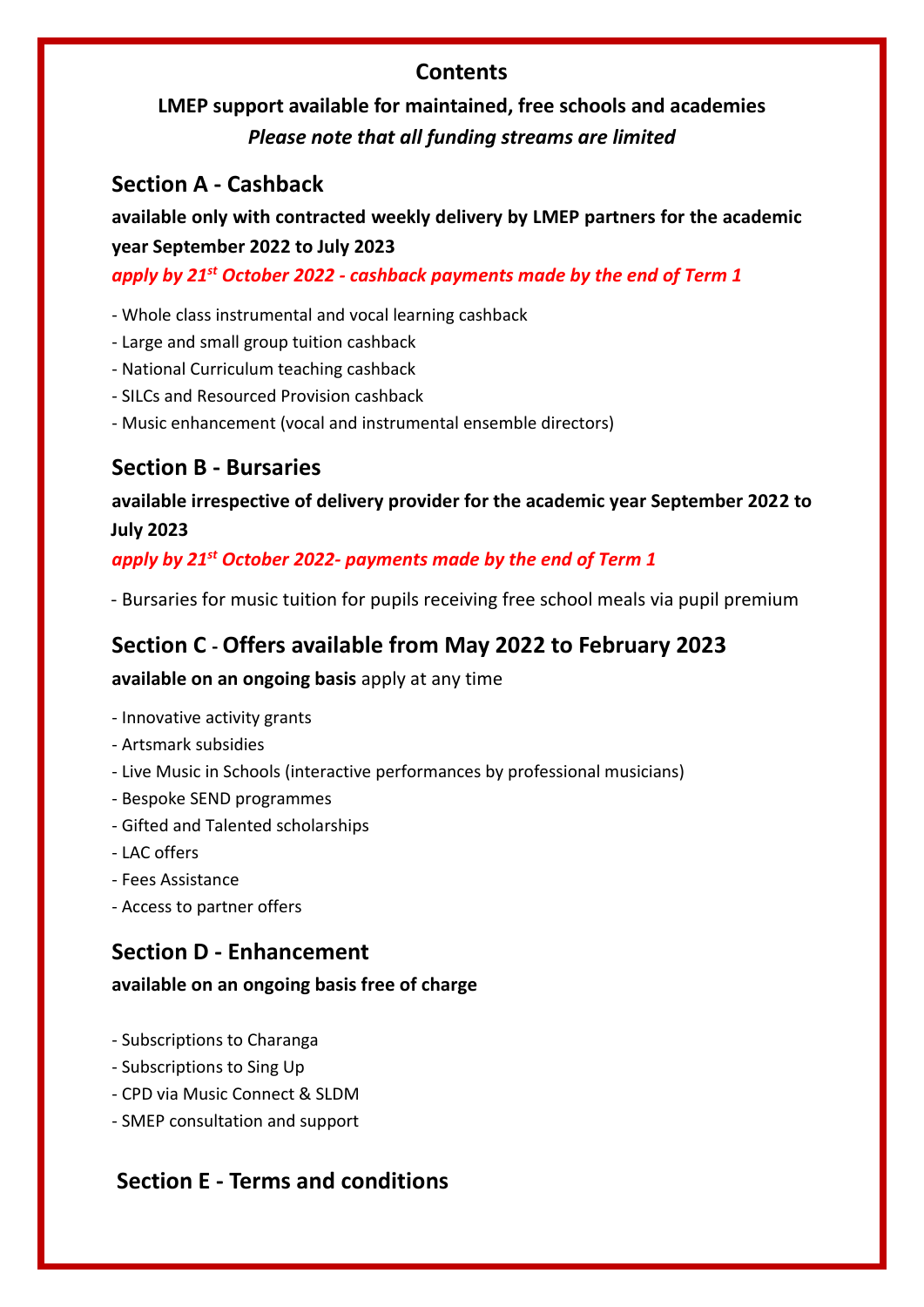## **Contents**

## **LMEP support available for maintained, free schools and academies** *Please note that all funding streams are limited*

## **Section A - Cashback**

**available only with contracted weekly delivery by LMEP partners for the academic year September 2022 to July 2023**

*apply by 21st October 2022 - cashback payments made by the end of Term 1*

- Whole class instrumental and vocal learning cashback
- Large and small group tuition cashback
- National Curriculum teaching cashback
- SILCs and Resourced Provision cashback
- Music enhancement (vocal and instrumental ensemble directors)

## **Section B - Bursaries**

**available irrespective of delivery provider for the academic year September 2022 to July 2023**

## *apply by 21st October 2022- payments made by the end of Term 1*

- Bursaries for music tuition for pupils receiving free school meals via pupil premium

## **Section C - Offers available from May 2022 to February 2023**

#### **available on an ongoing basis** apply at any time

- Innovative activity grants
- Artsmark subsidies
- Live Music in Schools (interactive performances by professional musicians)
- Bespoke SEND programmes
- Gifted and Talented scholarships
- LAC offers
- Fees Assistance
- Access to partner offers

## **Section D - Enhancement**

#### **available on an ongoing basis free of charge**

- Subscriptions to Charanga
- Subscriptions to Sing Up
- CPD via Music Connect & SLDM
- SMEP consultation and support

## **Section E - Terms and conditions**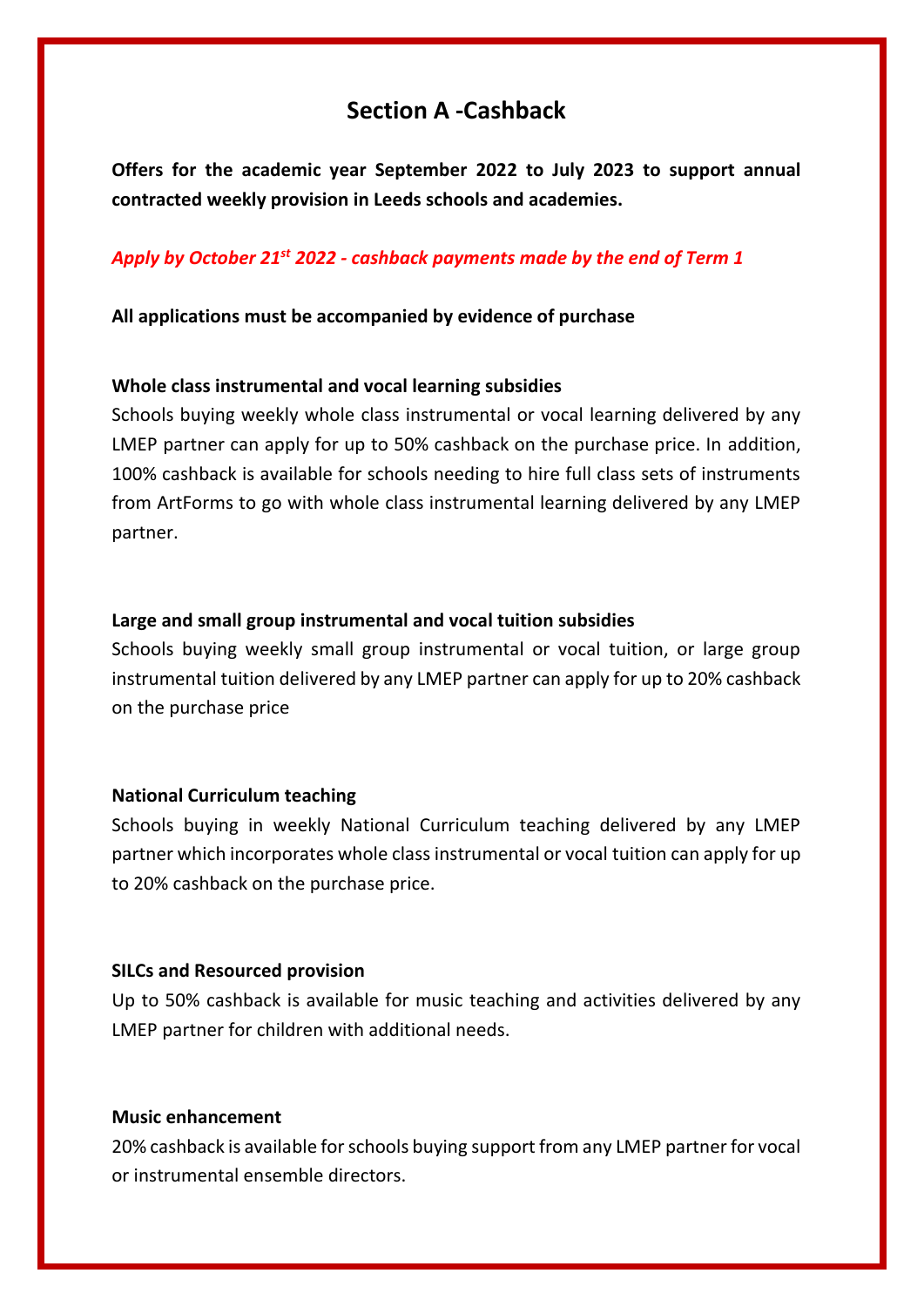## **Section A -Cashback**

**Offers for the academic year September 2022 to July 2023 to support annual contracted weekly provision in Leeds schools and academies.** 

#### *Apply by October 21st 2022 - cashback payments made by the end of Term 1*

**All applications must be accompanied by evidence of purchase** 

#### **Whole class instrumental and vocal learning subsidies**

Schools buying weekly whole class instrumental or vocal learning delivered by any LMEP partner can apply for up to 50% cashback on the purchase price. In addition, 100% cashback is available for schools needing to hire full class sets of instruments from ArtForms to go with whole class instrumental learning delivered by any LMEP partner.

#### **Large and small group instrumental and vocal tuition subsidies**

Schools buying weekly small group instrumental or vocal tuition, or large group instrumental tuition delivered by any LMEP partner can apply for up to 20% cashback on the purchase price

#### **National Curriculum teaching**

Schools buying in weekly National Curriculum teaching delivered by any LMEP partner which incorporates whole class instrumental or vocal tuition can apply for up to 20% cashback on the purchase price.

#### **SILCs and Resourced provision**

Up to 50% cashback is available for music teaching and activities delivered by any LMEP partner for children with additional needs.

#### **Music enhancement**

20% cashback is available for schools buying support from any LMEP partner for vocal or instrumental ensemble directors.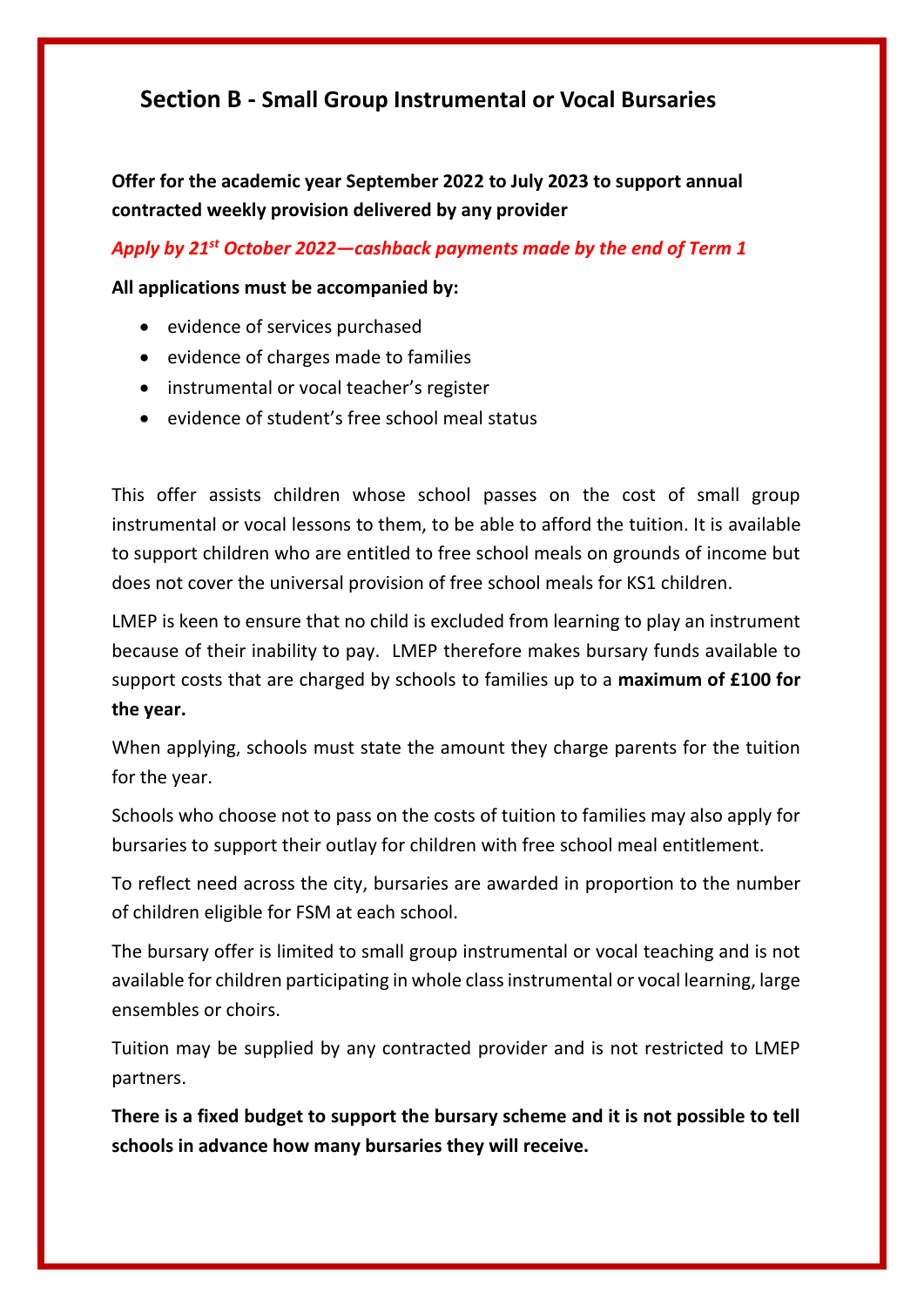## **Section B - Small Group Instrumental or Vocal Bursaries**

**Offer for the academic year September 2022 to July 2023 to support annual contracted weekly provision delivered by any provider** 

*Apply by 21st October 2022—cashback payments made by the end of Term 1*

#### **All applications must be accompanied by:**

- evidence of services purchased
- evidence of charges made to families
- instrumental or vocal teacher's register
- evidence of student's free school meal status

This offer assists children whose school passes on the cost of small group instrumental or vocal lessons to them, to be able to afford the tuition. It is available to support children who are entitled to free school meals on grounds of income but does not cover the universal provision of free school meals for KS1 children.

LMEP is keen to ensure that no child is excluded from learning to play an instrument because of their inability to pay. LMEP therefore makes bursary funds available to support costs that are charged by schools to families up to a **maximum of £100 for the year.**

When applying, schools must state the amount they charge parents for the tuition for the year.

Schools who choose not to pass on the costs of tuition to families may also apply for bursaries to support their outlay for children with free school meal entitlement.

To reflect need across the city, bursaries are awarded in proportion to the number of children eligible for FSM at each school.

The bursary offer is limited to small group instrumental or vocal teaching and is not available for children participating in whole class instrumental or vocal learning, large ensembles or choirs.

Tuition may be supplied by any contracted provider and is not restricted to LMEP partners.

**There is a fixed budget to support the bursary scheme and it is not possible to tell schools in advance how many bursaries they will receive.**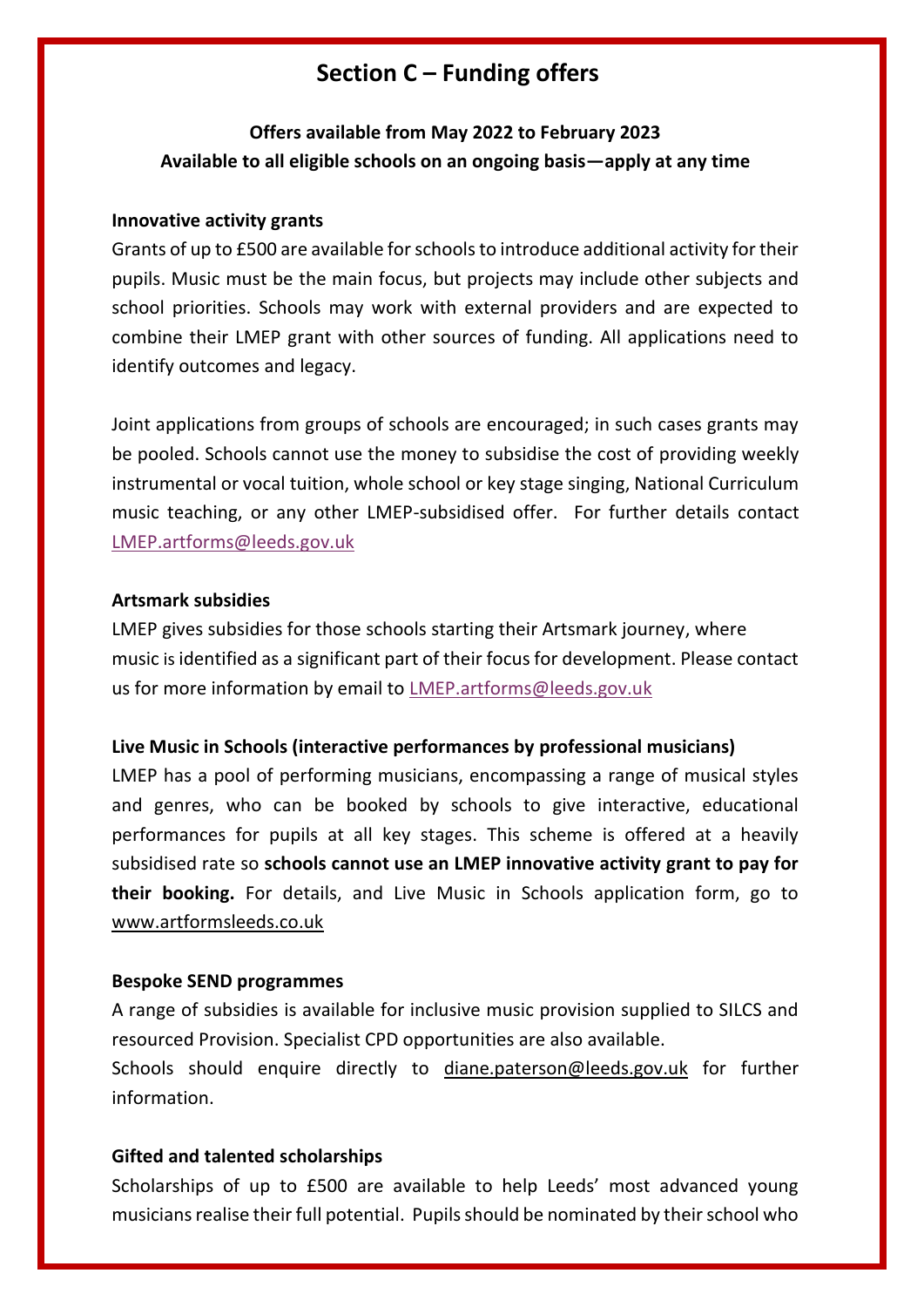## <sup>s</sup>**Section C – Funding offers**

## **Offers available from May 2022 to February 2023 Available to all eligible schools on an ongoing basis—apply at any time**

#### **Innovative activity grants**

Grants of up to £500 are available for schools to introduce additional activity for their pupils. Music must be the main focus, but projects may include other subjects and school priorities. Schools may work with external providers and are expected to combine their LMEP grant with other sources of funding. All applications need to identify outcomes and legacy.

Joint applications from groups of schools are encouraged; in such cases grants may be pooled. Schools cannot use the money to subsidise the cost of providing weekly instrumental or vocal tuition, whole school or key stage singing, National Curriculum music teaching, or any other LMEP-subsidised offer. For further details contact [LMEP.artforms@leeds.gov.uk](mailto:LMEP.artforms@leeds.gov.uk) 

#### **Artsmark subsidies**

LMEP gives subsidies for those schools starting their Artsmark journey, where music is identified as a significant part of their focus for development. Please contact us for more information by email to [LMEP.artforms@leeds.gov.uk](mailto:LMEP.artforms@leeds.gov.uk)

#### **Live Music in Schools (interactive performances by professional musicians)**

LMEP has a pool of performing musicians, encompassing a range of musical styles and genres, who can be booked by schools to give interactive, educational performances for pupils at all key stages. This scheme is offered at a heavily subsidised rate so **schools cannot use an LMEP innovative activity grant to pay for their booking.** For details, and Live Music in Schools application form, go to [www.artformsleeds.co.uk](http://www.artformsleeds.co.uk/) 

#### **Bespoke SEND programmes**

A range of subsidies is available for inclusive music provision supplied to SILCS and resourced Provision. Specialist CPD opportunities are also available.

Schools should enquire directly to [diane.paterson@leeds.gov.uk](mailto:diane.paterson@leeds.gov.uk) for further information.

#### **Gifted and talented scholarships**

Scholarships of up to £500 are available to help Leeds' most advanced young musicians realise their full potential. Pupils should be nominated by their school who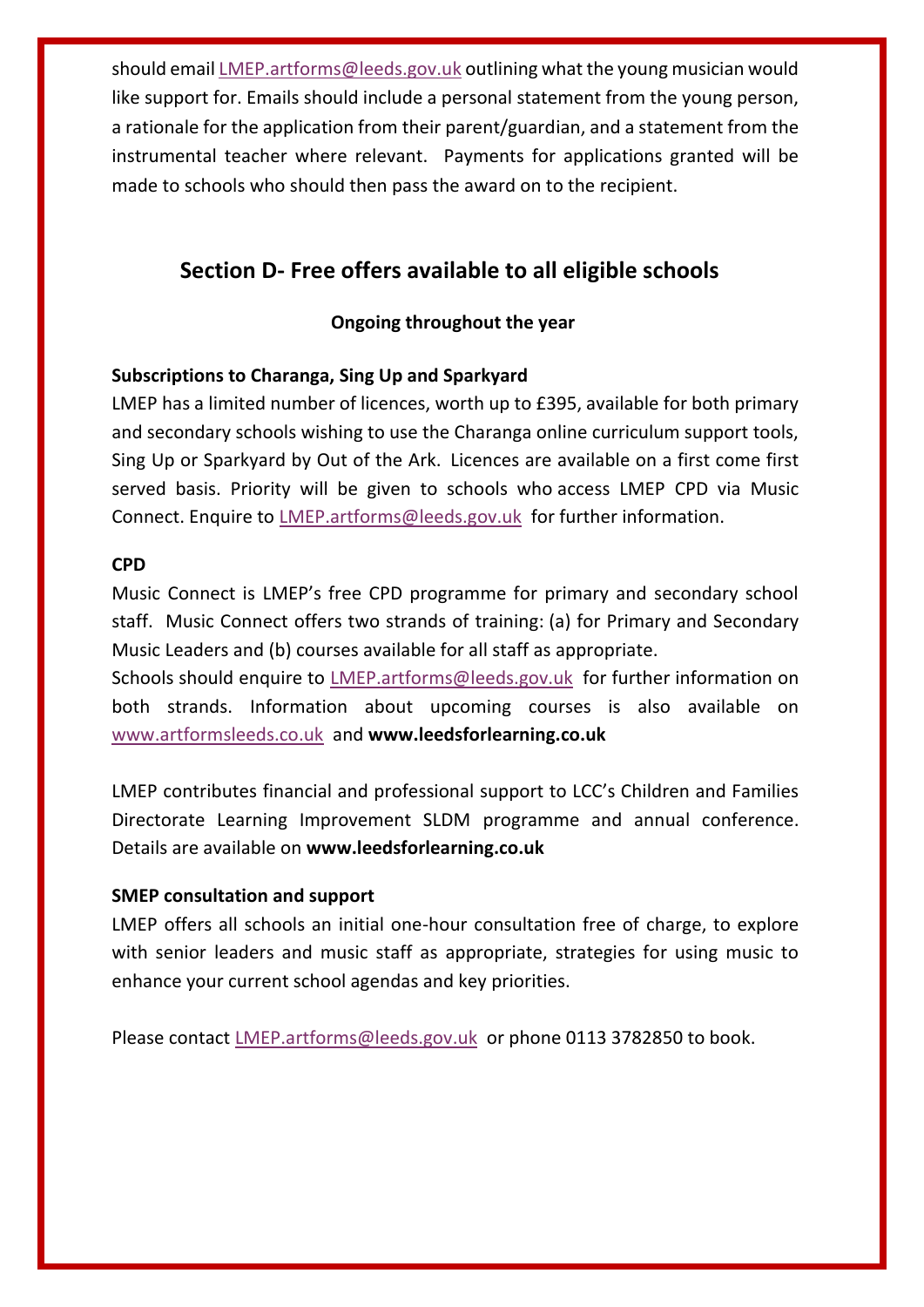should email [LMEP.artforms@leeds.gov.uk](mailto:LMEP.artforms@leeds,gov.uk) outlining what the young musician would like support for. Emails should include a personal statement from the young person, a rationale for the application from their parent/guardian, and a statement from the instrumental teacher where relevant. Payments for applications granted will be made to schools who should then pass the award on to the recipient.

## **Section D- Free offers available to all eligible schools**

#### **Ongoing throughout the year**

#### **Subscriptions to Charanga, Sing Up and Sparkyard**

LMEP has a limited number of licences, worth up to £395, available for both primary and secondary schools wishing to use the Charanga online curriculum support tools, Sing Up or Sparkyard by Out of the Ark. Licences are available on a first come first served basis. Priority will be given to schools who access LMEP CPD via Music Connect. Enquire to [LMEP.artforms@leeds.gov.uk](mailto:LMEP.artforms@leeds.gov.uk) for further information.

#### **CPD**

Music Connect is LMEP's free CPD programme for primary and secondary school staff. Music Connect offers two strands of training: (a) for Primary and Secondary Music Leaders and (b) courses available for all staff as appropriate.

Schools should enquire to [LMEP.artforms@leeds.gov.uk](mailto:LMEP.artforms@leeds.gov.uk) for further information on both strands. Information about upcoming courses is also available on [www.artformsleeds.co.uk](http://www.artformsleeds.co.uk/) and **[www.leedsforlearning.co.uk](http://www.leedsforlearning.co.uk/)**

LMEP contributes financial and professional support to LCC's Children and Families Directorate Learning Improvement SLDM programme and annual conference. Details are available on **[www.leedsforlearning.co.uk](http://www.leedsforlearning.co.uk/)**

#### **SMEP consultation and support**

LMEP offers all schools an initial one-hour consultation free of charge, to explore with senior leaders and music staff as appropriate, strategies for using music to enhance your current school agendas and key priorities.

Please contact [LMEP.artforms@leeds.gov.uk](mailto:LMEP.artforms@leeds.gov.uk) or phone 0113 3782850 to book.